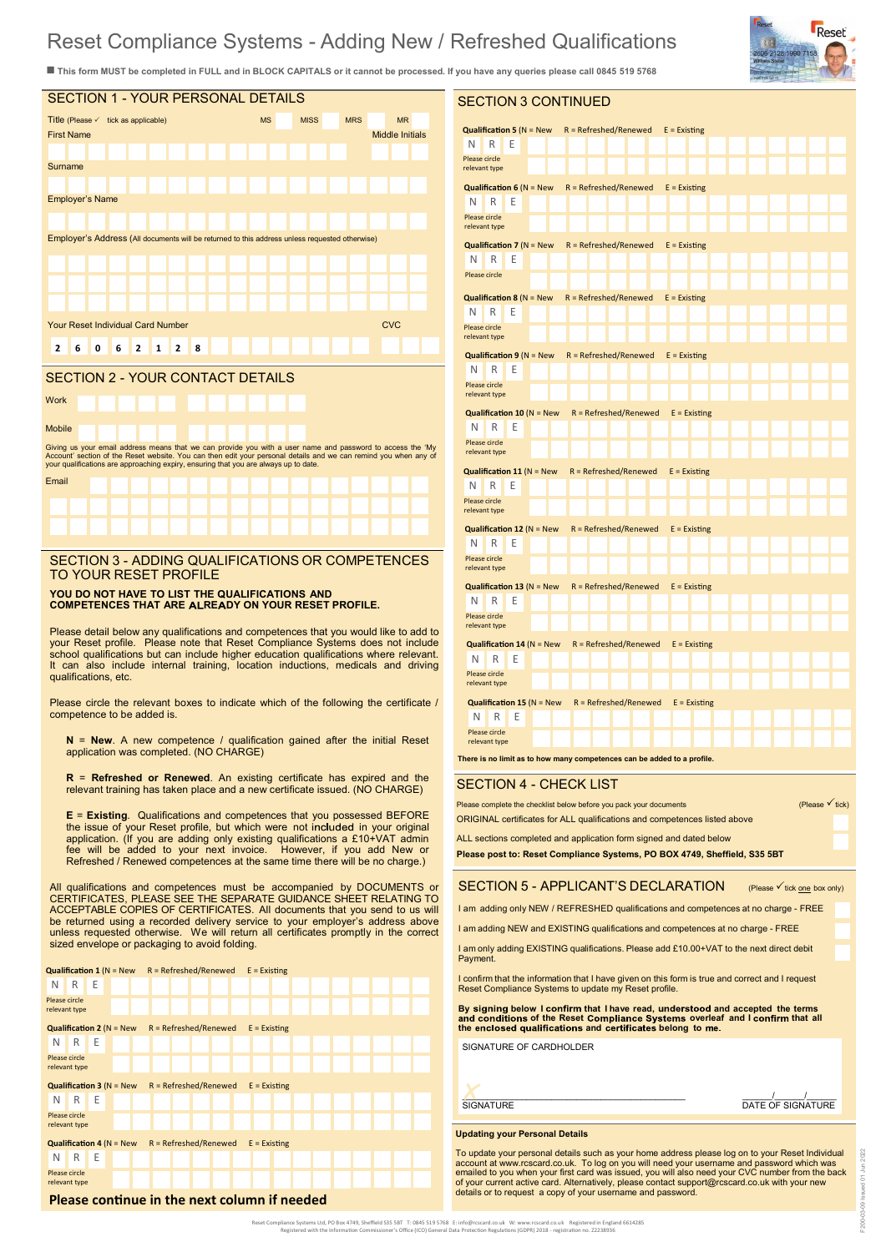# Reset Compliance Systems - Adding New / Refreshed Qualifications

SECTION 3 CONTINUED

■ This form MUST be completed in FULL and in BLOCK CAPITALS or it cannot be processed. If you have any queries please call 0845 519 5768



#### SECTION 2 - YOUR CONTACT DETAILS

Work Mobile Giving us your email address means that we can provide you with a user name and password to access the 'My<br>Account' section of the Reset website. You can then edit your personal details and we can remind you when any of<br>yo Email

## SECTION 3 - ADDING QUALIFICATIONS OR COMPETENCES TO YOUR RESET PROFILE

#### **YOU DO NOT HAVE TO LIST THE QUALIFICATIONS AND COMPETENCES THAT ARE RE DY ON YOUR RESET PROFILE.**

Please detail below any qualifications and competences that you would like to add to your Reset profile. Please note that Reset Compliance Systems does not include school qualifications but can include higher education qualifications where relevant. It can also include internal training, location inductions, medicals and driving qualifications, etc.

Please circle the relevant boxes to indicate which of the following the certificate / competence to be added is.

**N** = **New**. A new competence / qualification gained after the initial Reset application was completed. (NO CHARGE)

**R** = **Refreshed or Renewed**. An existing certificate has expired and the relevant training has taken place and a new certificate issued. (NO CHARGE)

**E** = **Existing**. Qualifications and competences that you possessed BEFORE the issue of your Reset profile, but which were not included in your original<br>application. (If you are adding only existing qualifications a £10+VAT admin<br>fee will be added to your next invoice. However, if you Refreshed / Renewed competences at the same time there will be no charge.)

All qualifications and competences must be accompanied by DOCUMENTS or CERTIFICATES, PLEASE SEE THE SEPARATE GUIDANCE SHEET RELATING TO ACCEPTABLE COPIES OF CERTIFICATES. All documents that you send to us will be returned using a recorded delivery service to your employer's address above unless requested otherwise. We will return all certificates promptly in the correct sized envelope or packaging to avoid folding.

|                                                                                         |                                                                       |     |  |  | <b>Qualification 1</b> ( $N = New$ R = Refreshed/Renewed E = Existing |  |  |  |  |  |  |  |  |  |  |  |  |  |  |
|-----------------------------------------------------------------------------------------|-----------------------------------------------------------------------|-----|--|--|-----------------------------------------------------------------------|--|--|--|--|--|--|--|--|--|--|--|--|--|--|
| N                                                                                       | R                                                                     | F   |  |  |                                                                       |  |  |  |  |  |  |  |  |  |  |  |  |  |  |
| Please circle<br>relevant type                                                          |                                                                       |     |  |  |                                                                       |  |  |  |  |  |  |  |  |  |  |  |  |  |  |
|                                                                                         |                                                                       |     |  |  | <b>Qualification 2</b> ( $N = New$ R = Refreshed/Renewed E = Existing |  |  |  |  |  |  |  |  |  |  |  |  |  |  |
| N.                                                                                      | R                                                                     | ΙE  |  |  |                                                                       |  |  |  |  |  |  |  |  |  |  |  |  |  |  |
| Please circle<br>relevant type                                                          |                                                                       |     |  |  |                                                                       |  |  |  |  |  |  |  |  |  |  |  |  |  |  |
|                                                                                         | <b>Qualification 3</b> ( $N = New$ R = Refreshed/Renewed E = Existing |     |  |  |                                                                       |  |  |  |  |  |  |  |  |  |  |  |  |  |  |
| N                                                                                       |                                                                       | R E |  |  |                                                                       |  |  |  |  |  |  |  |  |  |  |  |  |  |  |
| Please circle<br>relevant type                                                          |                                                                       |     |  |  |                                                                       |  |  |  |  |  |  |  |  |  |  |  |  |  |  |
| <b>Qualification 4 (<math>N = New</math></b><br>$R = Refreshold/Renewed$ $E = Existing$ |                                                                       |     |  |  |                                                                       |  |  |  |  |  |  |  |  |  |  |  |  |  |  |
| N                                                                                       |                                                                       | R E |  |  |                                                                       |  |  |  |  |  |  |  |  |  |  |  |  |  |  |
| Please circle<br>relevant type                                                          |                                                                       |     |  |  |                                                                       |  |  |  |  |  |  |  |  |  |  |  |  |  |  |
|                                                                                         | Please continue in the next column if needed                          |     |  |  |                                                                       |  |  |  |  |  |  |  |  |  |  |  |  |  |  |

| <b>Qualification 5 (<math>N = New</math></b><br>$R = Refreshold/Renewed$<br>$E =$ Existing<br>Ν<br>R<br>Е<br>Please circle<br>relevant type<br><b>Qualification 6 (<math>N = New</math></b><br>$R = Refreshold/Renewed$<br>$E =$ Existing<br>N<br>R<br>Е<br>Please circle<br>relevant type<br>$R = Refreshold/Renewed$<br><b>Qualification 7</b> ( $N = New$<br>$E =$ Existing<br>Е<br>N<br>R<br>Please circle<br>$R = Refreshold/Renewed$<br><b>Qualification 8</b> ( $N = New$<br>$E =$ Existing<br>N<br>R<br>Е<br>Please circle<br>relevant type<br><b>Qualification 9 (<math>N = New</math></b><br>$R = Refreshold/Renewed$<br>$E =$ Existing<br>N<br>R<br>Ε<br>Please circle<br>relevant type<br><b>Qualification 10 (N = New</b><br>$R = Refreshold/Renewed$<br>$E =$ Existing<br>Е<br>N<br>R<br>Please circle<br>relevant type<br><b>Qualification 11 (<math>N = New</math></b><br>$R = Refreshold/Renewed$<br>$E =$ Existing<br>Ε<br>N<br>R<br>Please circle<br>relevant type<br><b>Qualification 12 (N = New</b><br>R = Refreshed/Renewed<br>$E =$ Existing<br>N<br>Е<br>R<br>Please circle<br>relevant type<br><b>Qualification 13 (<math>N = New</math></b><br>$R = Refreshold/Renewed$<br>$E =$ Existing<br>N<br>R<br>Е<br>Please circle<br>relevant type<br><b>Qualification 14 (<math>N = New</math></b><br>$R = Refreshold/Renewed$<br>$E =$ Existing<br>N<br>F<br>R<br>Please circle<br>relevant type<br>Qualification 15 ( $N = New$<br>$R = Refreshold/Renewed$<br>$E =$ Existing<br>N<br>Е<br>R<br>Please circle<br>relevant type<br>There is no limit as to how many competences can be added to a profile.<br>SECTION 4 - CHECK LIST<br>(Please $\checkmark$ tick)<br>Please complete the checklist below before you pack your documents<br>ORIGINAL certificates for ALL qualifications and competences listed above<br>ALL sections completed and application form signed and dated below<br>Please post to: Reset Compliance Systems, PO BOX 4749, Sheffield, S35 5BT<br>SECTION 5 - APPLICANT'S DECLARATION<br>(Please $\checkmark$ tick one box only)<br>I am adding only NEW / REFRESHED qualifications and competences at no charge - FREE<br>I am adding NEW and EXISTING qualifications and competences at no charge - FREE<br>I am only adding EXISTING qualifications. Please add £10.00+VAT to the next direct debit<br>Payment.<br>I confirm that the information that I have given on this form is true and correct and I request |  |  |  |  |  |  |  |  |  |  |  |  |  |  |  |  |  |
|----------------------------------------------------------------------------------------------------------------------------------------------------------------------------------------------------------------------------------------------------------------------------------------------------------------------------------------------------------------------------------------------------------------------------------------------------------------------------------------------------------------------------------------------------------------------------------------------------------------------------------------------------------------------------------------------------------------------------------------------------------------------------------------------------------------------------------------------------------------------------------------------------------------------------------------------------------------------------------------------------------------------------------------------------------------------------------------------------------------------------------------------------------------------------------------------------------------------------------------------------------------------------------------------------------------------------------------------------------------------------------------------------------------------------------------------------------------------------------------------------------------------------------------------------------------------------------------------------------------------------------------------------------------------------------------------------------------------------------------------------------------------------------------------------------------------------------------------------------------------------------------------------------------------------------------------------------------------------------------------------------------------------------------------------------------------------------------------------------------------------------------------------------------------------------------------------------------------------------------------------------------------------------------------------------------------------------------------------------------------------------------------------------------------------------------------------------------------|--|--|--|--|--|--|--|--|--|--|--|--|--|--|--|--|--|
|                                                                                                                                                                                                                                                                                                                                                                                                                                                                                                                                                                                                                                                                                                                                                                                                                                                                                                                                                                                                                                                                                                                                                                                                                                                                                                                                                                                                                                                                                                                                                                                                                                                                                                                                                                                                                                                                                                                                                                                                                                                                                                                                                                                                                                                                                                                                                                                                                                                                      |  |  |  |  |  |  |  |  |  |  |  |  |  |  |  |  |  |
|                                                                                                                                                                                                                                                                                                                                                                                                                                                                                                                                                                                                                                                                                                                                                                                                                                                                                                                                                                                                                                                                                                                                                                                                                                                                                                                                                                                                                                                                                                                                                                                                                                                                                                                                                                                                                                                                                                                                                                                                                                                                                                                                                                                                                                                                                                                                                                                                                                                                      |  |  |  |  |  |  |  |  |  |  |  |  |  |  |  |  |  |
|                                                                                                                                                                                                                                                                                                                                                                                                                                                                                                                                                                                                                                                                                                                                                                                                                                                                                                                                                                                                                                                                                                                                                                                                                                                                                                                                                                                                                                                                                                                                                                                                                                                                                                                                                                                                                                                                                                                                                                                                                                                                                                                                                                                                                                                                                                                                                                                                                                                                      |  |  |  |  |  |  |  |  |  |  |  |  |  |  |  |  |  |
|                                                                                                                                                                                                                                                                                                                                                                                                                                                                                                                                                                                                                                                                                                                                                                                                                                                                                                                                                                                                                                                                                                                                                                                                                                                                                                                                                                                                                                                                                                                                                                                                                                                                                                                                                                                                                                                                                                                                                                                                                                                                                                                                                                                                                                                                                                                                                                                                                                                                      |  |  |  |  |  |  |  |  |  |  |  |  |  |  |  |  |  |
|                                                                                                                                                                                                                                                                                                                                                                                                                                                                                                                                                                                                                                                                                                                                                                                                                                                                                                                                                                                                                                                                                                                                                                                                                                                                                                                                                                                                                                                                                                                                                                                                                                                                                                                                                                                                                                                                                                                                                                                                                                                                                                                                                                                                                                                                                                                                                                                                                                                                      |  |  |  |  |  |  |  |  |  |  |  |  |  |  |  |  |  |
|                                                                                                                                                                                                                                                                                                                                                                                                                                                                                                                                                                                                                                                                                                                                                                                                                                                                                                                                                                                                                                                                                                                                                                                                                                                                                                                                                                                                                                                                                                                                                                                                                                                                                                                                                                                                                                                                                                                                                                                                                                                                                                                                                                                                                                                                                                                                                                                                                                                                      |  |  |  |  |  |  |  |  |  |  |  |  |  |  |  |  |  |
|                                                                                                                                                                                                                                                                                                                                                                                                                                                                                                                                                                                                                                                                                                                                                                                                                                                                                                                                                                                                                                                                                                                                                                                                                                                                                                                                                                                                                                                                                                                                                                                                                                                                                                                                                                                                                                                                                                                                                                                                                                                                                                                                                                                                                                                                                                                                                                                                                                                                      |  |  |  |  |  |  |  |  |  |  |  |  |  |  |  |  |  |
|                                                                                                                                                                                                                                                                                                                                                                                                                                                                                                                                                                                                                                                                                                                                                                                                                                                                                                                                                                                                                                                                                                                                                                                                                                                                                                                                                                                                                                                                                                                                                                                                                                                                                                                                                                                                                                                                                                                                                                                                                                                                                                                                                                                                                                                                                                                                                                                                                                                                      |  |  |  |  |  |  |  |  |  |  |  |  |  |  |  |  |  |
|                                                                                                                                                                                                                                                                                                                                                                                                                                                                                                                                                                                                                                                                                                                                                                                                                                                                                                                                                                                                                                                                                                                                                                                                                                                                                                                                                                                                                                                                                                                                                                                                                                                                                                                                                                                                                                                                                                                                                                                                                                                                                                                                                                                                                                                                                                                                                                                                                                                                      |  |  |  |  |  |  |  |  |  |  |  |  |  |  |  |  |  |
|                                                                                                                                                                                                                                                                                                                                                                                                                                                                                                                                                                                                                                                                                                                                                                                                                                                                                                                                                                                                                                                                                                                                                                                                                                                                                                                                                                                                                                                                                                                                                                                                                                                                                                                                                                                                                                                                                                                                                                                                                                                                                                                                                                                                                                                                                                                                                                                                                                                                      |  |  |  |  |  |  |  |  |  |  |  |  |  |  |  |  |  |
|                                                                                                                                                                                                                                                                                                                                                                                                                                                                                                                                                                                                                                                                                                                                                                                                                                                                                                                                                                                                                                                                                                                                                                                                                                                                                                                                                                                                                                                                                                                                                                                                                                                                                                                                                                                                                                                                                                                                                                                                                                                                                                                                                                                                                                                                                                                                                                                                                                                                      |  |  |  |  |  |  |  |  |  |  |  |  |  |  |  |  |  |
|                                                                                                                                                                                                                                                                                                                                                                                                                                                                                                                                                                                                                                                                                                                                                                                                                                                                                                                                                                                                                                                                                                                                                                                                                                                                                                                                                                                                                                                                                                                                                                                                                                                                                                                                                                                                                                                                                                                                                                                                                                                                                                                                                                                                                                                                                                                                                                                                                                                                      |  |  |  |  |  |  |  |  |  |  |  |  |  |  |  |  |  |
|                                                                                                                                                                                                                                                                                                                                                                                                                                                                                                                                                                                                                                                                                                                                                                                                                                                                                                                                                                                                                                                                                                                                                                                                                                                                                                                                                                                                                                                                                                                                                                                                                                                                                                                                                                                                                                                                                                                                                                                                                                                                                                                                                                                                                                                                                                                                                                                                                                                                      |  |  |  |  |  |  |  |  |  |  |  |  |  |  |  |  |  |
|                                                                                                                                                                                                                                                                                                                                                                                                                                                                                                                                                                                                                                                                                                                                                                                                                                                                                                                                                                                                                                                                                                                                                                                                                                                                                                                                                                                                                                                                                                                                                                                                                                                                                                                                                                                                                                                                                                                                                                                                                                                                                                                                                                                                                                                                                                                                                                                                                                                                      |  |  |  |  |  |  |  |  |  |  |  |  |  |  |  |  |  |
|                                                                                                                                                                                                                                                                                                                                                                                                                                                                                                                                                                                                                                                                                                                                                                                                                                                                                                                                                                                                                                                                                                                                                                                                                                                                                                                                                                                                                                                                                                                                                                                                                                                                                                                                                                                                                                                                                                                                                                                                                                                                                                                                                                                                                                                                                                                                                                                                                                                                      |  |  |  |  |  |  |  |  |  |  |  |  |  |  |  |  |  |
|                                                                                                                                                                                                                                                                                                                                                                                                                                                                                                                                                                                                                                                                                                                                                                                                                                                                                                                                                                                                                                                                                                                                                                                                                                                                                                                                                                                                                                                                                                                                                                                                                                                                                                                                                                                                                                                                                                                                                                                                                                                                                                                                                                                                                                                                                                                                                                                                                                                                      |  |  |  |  |  |  |  |  |  |  |  |  |  |  |  |  |  |
|                                                                                                                                                                                                                                                                                                                                                                                                                                                                                                                                                                                                                                                                                                                                                                                                                                                                                                                                                                                                                                                                                                                                                                                                                                                                                                                                                                                                                                                                                                                                                                                                                                                                                                                                                                                                                                                                                                                                                                                                                                                                                                                                                                                                                                                                                                                                                                                                                                                                      |  |  |  |  |  |  |  |  |  |  |  |  |  |  |  |  |  |
|                                                                                                                                                                                                                                                                                                                                                                                                                                                                                                                                                                                                                                                                                                                                                                                                                                                                                                                                                                                                                                                                                                                                                                                                                                                                                                                                                                                                                                                                                                                                                                                                                                                                                                                                                                                                                                                                                                                                                                                                                                                                                                                                                                                                                                                                                                                                                                                                                                                                      |  |  |  |  |  |  |  |  |  |  |  |  |  |  |  |  |  |
|                                                                                                                                                                                                                                                                                                                                                                                                                                                                                                                                                                                                                                                                                                                                                                                                                                                                                                                                                                                                                                                                                                                                                                                                                                                                                                                                                                                                                                                                                                                                                                                                                                                                                                                                                                                                                                                                                                                                                                                                                                                                                                                                                                                                                                                                                                                                                                                                                                                                      |  |  |  |  |  |  |  |  |  |  |  |  |  |  |  |  |  |
|                                                                                                                                                                                                                                                                                                                                                                                                                                                                                                                                                                                                                                                                                                                                                                                                                                                                                                                                                                                                                                                                                                                                                                                                                                                                                                                                                                                                                                                                                                                                                                                                                                                                                                                                                                                                                                                                                                                                                                                                                                                                                                                                                                                                                                                                                                                                                                                                                                                                      |  |  |  |  |  |  |  |  |  |  |  |  |  |  |  |  |  |
|                                                                                                                                                                                                                                                                                                                                                                                                                                                                                                                                                                                                                                                                                                                                                                                                                                                                                                                                                                                                                                                                                                                                                                                                                                                                                                                                                                                                                                                                                                                                                                                                                                                                                                                                                                                                                                                                                                                                                                                                                                                                                                                                                                                                                                                                                                                                                                                                                                                                      |  |  |  |  |  |  |  |  |  |  |  |  |  |  |  |  |  |
|                                                                                                                                                                                                                                                                                                                                                                                                                                                                                                                                                                                                                                                                                                                                                                                                                                                                                                                                                                                                                                                                                                                                                                                                                                                                                                                                                                                                                                                                                                                                                                                                                                                                                                                                                                                                                                                                                                                                                                                                                                                                                                                                                                                                                                                                                                                                                                                                                                                                      |  |  |  |  |  |  |  |  |  |  |  |  |  |  |  |  |  |
|                                                                                                                                                                                                                                                                                                                                                                                                                                                                                                                                                                                                                                                                                                                                                                                                                                                                                                                                                                                                                                                                                                                                                                                                                                                                                                                                                                                                                                                                                                                                                                                                                                                                                                                                                                                                                                                                                                                                                                                                                                                                                                                                                                                                                                                                                                                                                                                                                                                                      |  |  |  |  |  |  |  |  |  |  |  |  |  |  |  |  |  |
|                                                                                                                                                                                                                                                                                                                                                                                                                                                                                                                                                                                                                                                                                                                                                                                                                                                                                                                                                                                                                                                                                                                                                                                                                                                                                                                                                                                                                                                                                                                                                                                                                                                                                                                                                                                                                                                                                                                                                                                                                                                                                                                                                                                                                                                                                                                                                                                                                                                                      |  |  |  |  |  |  |  |  |  |  |  |  |  |  |  |  |  |
|                                                                                                                                                                                                                                                                                                                                                                                                                                                                                                                                                                                                                                                                                                                                                                                                                                                                                                                                                                                                                                                                                                                                                                                                                                                                                                                                                                                                                                                                                                                                                                                                                                                                                                                                                                                                                                                                                                                                                                                                                                                                                                                                                                                                                                                                                                                                                                                                                                                                      |  |  |  |  |  |  |  |  |  |  |  |  |  |  |  |  |  |
|                                                                                                                                                                                                                                                                                                                                                                                                                                                                                                                                                                                                                                                                                                                                                                                                                                                                                                                                                                                                                                                                                                                                                                                                                                                                                                                                                                                                                                                                                                                                                                                                                                                                                                                                                                                                                                                                                                                                                                                                                                                                                                                                                                                                                                                                                                                                                                                                                                                                      |  |  |  |  |  |  |  |  |  |  |  |  |  |  |  |  |  |
|                                                                                                                                                                                                                                                                                                                                                                                                                                                                                                                                                                                                                                                                                                                                                                                                                                                                                                                                                                                                                                                                                                                                                                                                                                                                                                                                                                                                                                                                                                                                                                                                                                                                                                                                                                                                                                                                                                                                                                                                                                                                                                                                                                                                                                                                                                                                                                                                                                                                      |  |  |  |  |  |  |  |  |  |  |  |  |  |  |  |  |  |
|                                                                                                                                                                                                                                                                                                                                                                                                                                                                                                                                                                                                                                                                                                                                                                                                                                                                                                                                                                                                                                                                                                                                                                                                                                                                                                                                                                                                                                                                                                                                                                                                                                                                                                                                                                                                                                                                                                                                                                                                                                                                                                                                                                                                                                                                                                                                                                                                                                                                      |  |  |  |  |  |  |  |  |  |  |  |  |  |  |  |  |  |
|                                                                                                                                                                                                                                                                                                                                                                                                                                                                                                                                                                                                                                                                                                                                                                                                                                                                                                                                                                                                                                                                                                                                                                                                                                                                                                                                                                                                                                                                                                                                                                                                                                                                                                                                                                                                                                                                                                                                                                                                                                                                                                                                                                                                                                                                                                                                                                                                                                                                      |  |  |  |  |  |  |  |  |  |  |  |  |  |  |  |  |  |
|                                                                                                                                                                                                                                                                                                                                                                                                                                                                                                                                                                                                                                                                                                                                                                                                                                                                                                                                                                                                                                                                                                                                                                                                                                                                                                                                                                                                                                                                                                                                                                                                                                                                                                                                                                                                                                                                                                                                                                                                                                                                                                                                                                                                                                                                                                                                                                                                                                                                      |  |  |  |  |  |  |  |  |  |  |  |  |  |  |  |  |  |
|                                                                                                                                                                                                                                                                                                                                                                                                                                                                                                                                                                                                                                                                                                                                                                                                                                                                                                                                                                                                                                                                                                                                                                                                                                                                                                                                                                                                                                                                                                                                                                                                                                                                                                                                                                                                                                                                                                                                                                                                                                                                                                                                                                                                                                                                                                                                                                                                                                                                      |  |  |  |  |  |  |  |  |  |  |  |  |  |  |  |  |  |
|                                                                                                                                                                                                                                                                                                                                                                                                                                                                                                                                                                                                                                                                                                                                                                                                                                                                                                                                                                                                                                                                                                                                                                                                                                                                                                                                                                                                                                                                                                                                                                                                                                                                                                                                                                                                                                                                                                                                                                                                                                                                                                                                                                                                                                                                                                                                                                                                                                                                      |  |  |  |  |  |  |  |  |  |  |  |  |  |  |  |  |  |
|                                                                                                                                                                                                                                                                                                                                                                                                                                                                                                                                                                                                                                                                                                                                                                                                                                                                                                                                                                                                                                                                                                                                                                                                                                                                                                                                                                                                                                                                                                                                                                                                                                                                                                                                                                                                                                                                                                                                                                                                                                                                                                                                                                                                                                                                                                                                                                                                                                                                      |  |  |  |  |  |  |  |  |  |  |  |  |  |  |  |  |  |
|                                                                                                                                                                                                                                                                                                                                                                                                                                                                                                                                                                                                                                                                                                                                                                                                                                                                                                                                                                                                                                                                                                                                                                                                                                                                                                                                                                                                                                                                                                                                                                                                                                                                                                                                                                                                                                                                                                                                                                                                                                                                                                                                                                                                                                                                                                                                                                                                                                                                      |  |  |  |  |  |  |  |  |  |  |  |  |  |  |  |  |  |
|                                                                                                                                                                                                                                                                                                                                                                                                                                                                                                                                                                                                                                                                                                                                                                                                                                                                                                                                                                                                                                                                                                                                                                                                                                                                                                                                                                                                                                                                                                                                                                                                                                                                                                                                                                                                                                                                                                                                                                                                                                                                                                                                                                                                                                                                                                                                                                                                                                                                      |  |  |  |  |  |  |  |  |  |  |  |  |  |  |  |  |  |
|                                                                                                                                                                                                                                                                                                                                                                                                                                                                                                                                                                                                                                                                                                                                                                                                                                                                                                                                                                                                                                                                                                                                                                                                                                                                                                                                                                                                                                                                                                                                                                                                                                                                                                                                                                                                                                                                                                                                                                                                                                                                                                                                                                                                                                                                                                                                                                                                                                                                      |  |  |  |  |  |  |  |  |  |  |  |  |  |  |  |  |  |
|                                                                                                                                                                                                                                                                                                                                                                                                                                                                                                                                                                                                                                                                                                                                                                                                                                                                                                                                                                                                                                                                                                                                                                                                                                                                                                                                                                                                                                                                                                                                                                                                                                                                                                                                                                                                                                                                                                                                                                                                                                                                                                                                                                                                                                                                                                                                                                                                                                                                      |  |  |  |  |  |  |  |  |  |  |  |  |  |  |  |  |  |
|                                                                                                                                                                                                                                                                                                                                                                                                                                                                                                                                                                                                                                                                                                                                                                                                                                                                                                                                                                                                                                                                                                                                                                                                                                                                                                                                                                                                                                                                                                                                                                                                                                                                                                                                                                                                                                                                                                                                                                                                                                                                                                                                                                                                                                                                                                                                                                                                                                                                      |  |  |  |  |  |  |  |  |  |  |  |  |  |  |  |  |  |
|                                                                                                                                                                                                                                                                                                                                                                                                                                                                                                                                                                                                                                                                                                                                                                                                                                                                                                                                                                                                                                                                                                                                                                                                                                                                                                                                                                                                                                                                                                                                                                                                                                                                                                                                                                                                                                                                                                                                                                                                                                                                                                                                                                                                                                                                                                                                                                                                                                                                      |  |  |  |  |  |  |  |  |  |  |  |  |  |  |  |  |  |
|                                                                                                                                                                                                                                                                                                                                                                                                                                                                                                                                                                                                                                                                                                                                                                                                                                                                                                                                                                                                                                                                                                                                                                                                                                                                                                                                                                                                                                                                                                                                                                                                                                                                                                                                                                                                                                                                                                                                                                                                                                                                                                                                                                                                                                                                                                                                                                                                                                                                      |  |  |  |  |  |  |  |  |  |  |  |  |  |  |  |  |  |
|                                                                                                                                                                                                                                                                                                                                                                                                                                                                                                                                                                                                                                                                                                                                                                                                                                                                                                                                                                                                                                                                                                                                                                                                                                                                                                                                                                                                                                                                                                                                                                                                                                                                                                                                                                                                                                                                                                                                                                                                                                                                                                                                                                                                                                                                                                                                                                                                                                                                      |  |  |  |  |  |  |  |  |  |  |  |  |  |  |  |  |  |
|                                                                                                                                                                                                                                                                                                                                                                                                                                                                                                                                                                                                                                                                                                                                                                                                                                                                                                                                                                                                                                                                                                                                                                                                                                                                                                                                                                                                                                                                                                                                                                                                                                                                                                                                                                                                                                                                                                                                                                                                                                                                                                                                                                                                                                                                                                                                                                                                                                                                      |  |  |  |  |  |  |  |  |  |  |  |  |  |  |  |  |  |
|                                                                                                                                                                                                                                                                                                                                                                                                                                                                                                                                                                                                                                                                                                                                                                                                                                                                                                                                                                                                                                                                                                                                                                                                                                                                                                                                                                                                                                                                                                                                                                                                                                                                                                                                                                                                                                                                                                                                                                                                                                                                                                                                                                                                                                                                                                                                                                                                                                                                      |  |  |  |  |  |  |  |  |  |  |  |  |  |  |  |  |  |
|                                                                                                                                                                                                                                                                                                                                                                                                                                                                                                                                                                                                                                                                                                                                                                                                                                                                                                                                                                                                                                                                                                                                                                                                                                                                                                                                                                                                                                                                                                                                                                                                                                                                                                                                                                                                                                                                                                                                                                                                                                                                                                                                                                                                                                                                                                                                                                                                                                                                      |  |  |  |  |  |  |  |  |  |  |  |  |  |  |  |  |  |
|                                                                                                                                                                                                                                                                                                                                                                                                                                                                                                                                                                                                                                                                                                                                                                                                                                                                                                                                                                                                                                                                                                                                                                                                                                                                                                                                                                                                                                                                                                                                                                                                                                                                                                                                                                                                                                                                                                                                                                                                                                                                                                                                                                                                                                                                                                                                                                                                                                                                      |  |  |  |  |  |  |  |  |  |  |  |  |  |  |  |  |  |
|                                                                                                                                                                                                                                                                                                                                                                                                                                                                                                                                                                                                                                                                                                                                                                                                                                                                                                                                                                                                                                                                                                                                                                                                                                                                                                                                                                                                                                                                                                                                                                                                                                                                                                                                                                                                                                                                                                                                                                                                                                                                                                                                                                                                                                                                                                                                                                                                                                                                      |  |  |  |  |  |  |  |  |  |  |  |  |  |  |  |  |  |
|                                                                                                                                                                                                                                                                                                                                                                                                                                                                                                                                                                                                                                                                                                                                                                                                                                                                                                                                                                                                                                                                                                                                                                                                                                                                                                                                                                                                                                                                                                                                                                                                                                                                                                                                                                                                                                                                                                                                                                                                                                                                                                                                                                                                                                                                                                                                                                                                                                                                      |  |  |  |  |  |  |  |  |  |  |  |  |  |  |  |  |  |
|                                                                                                                                                                                                                                                                                                                                                                                                                                                                                                                                                                                                                                                                                                                                                                                                                                                                                                                                                                                                                                                                                                                                                                                                                                                                                                                                                                                                                                                                                                                                                                                                                                                                                                                                                                                                                                                                                                                                                                                                                                                                                                                                                                                                                                                                                                                                                                                                                                                                      |  |  |  |  |  |  |  |  |  |  |  |  |  |  |  |  |  |
|                                                                                                                                                                                                                                                                                                                                                                                                                                                                                                                                                                                                                                                                                                                                                                                                                                                                                                                                                                                                                                                                                                                                                                                                                                                                                                                                                                                                                                                                                                                                                                                                                                                                                                                                                                                                                                                                                                                                                                                                                                                                                                                                                                                                                                                                                                                                                                                                                                                                      |  |  |  |  |  |  |  |  |  |  |  |  |  |  |  |  |  |
|                                                                                                                                                                                                                                                                                                                                                                                                                                                                                                                                                                                                                                                                                                                                                                                                                                                                                                                                                                                                                                                                                                                                                                                                                                                                                                                                                                                                                                                                                                                                                                                                                                                                                                                                                                                                                                                                                                                                                                                                                                                                                                                                                                                                                                                                                                                                                                                                                                                                      |  |  |  |  |  |  |  |  |  |  |  |  |  |  |  |  |  |
|                                                                                                                                                                                                                                                                                                                                                                                                                                                                                                                                                                                                                                                                                                                                                                                                                                                                                                                                                                                                                                                                                                                                                                                                                                                                                                                                                                                                                                                                                                                                                                                                                                                                                                                                                                                                                                                                                                                                                                                                                                                                                                                                                                                                                                                                                                                                                                                                                                                                      |  |  |  |  |  |  |  |  |  |  |  |  |  |  |  |  |  |
|                                                                                                                                                                                                                                                                                                                                                                                                                                                                                                                                                                                                                                                                                                                                                                                                                                                                                                                                                                                                                                                                                                                                                                                                                                                                                                                                                                                                                                                                                                                                                                                                                                                                                                                                                                                                                                                                                                                                                                                                                                                                                                                                                                                                                                                                                                                                                                                                                                                                      |  |  |  |  |  |  |  |  |  |  |  |  |  |  |  |  |  |
|                                                                                                                                                                                                                                                                                                                                                                                                                                                                                                                                                                                                                                                                                                                                                                                                                                                                                                                                                                                                                                                                                                                                                                                                                                                                                                                                                                                                                                                                                                                                                                                                                                                                                                                                                                                                                                                                                                                                                                                                                                                                                                                                                                                                                                                                                                                                                                                                                                                                      |  |  |  |  |  |  |  |  |  |  |  |  |  |  |  |  |  |
|                                                                                                                                                                                                                                                                                                                                                                                                                                                                                                                                                                                                                                                                                                                                                                                                                                                                                                                                                                                                                                                                                                                                                                                                                                                                                                                                                                                                                                                                                                                                                                                                                                                                                                                                                                                                                                                                                                                                                                                                                                                                                                                                                                                                                                                                                                                                                                                                                                                                      |  |  |  |  |  |  |  |  |  |  |  |  |  |  |  |  |  |
|                                                                                                                                                                                                                                                                                                                                                                                                                                                                                                                                                                                                                                                                                                                                                                                                                                                                                                                                                                                                                                                                                                                                                                                                                                                                                                                                                                                                                                                                                                                                                                                                                                                                                                                                                                                                                                                                                                                                                                                                                                                                                                                                                                                                                                                                                                                                                                                                                                                                      |  |  |  |  |  |  |  |  |  |  |  |  |  |  |  |  |  |
|                                                                                                                                                                                                                                                                                                                                                                                                                                                                                                                                                                                                                                                                                                                                                                                                                                                                                                                                                                                                                                                                                                                                                                                                                                                                                                                                                                                                                                                                                                                                                                                                                                                                                                                                                                                                                                                                                                                                                                                                                                                                                                                                                                                                                                                                                                                                                                                                                                                                      |  |  |  |  |  |  |  |  |  |  |  |  |  |  |  |  |  |
|                                                                                                                                                                                                                                                                                                                                                                                                                                                                                                                                                                                                                                                                                                                                                                                                                                                                                                                                                                                                                                                                                                                                                                                                                                                                                                                                                                                                                                                                                                                                                                                                                                                                                                                                                                                                                                                                                                                                                                                                                                                                                                                                                                                                                                                                                                                                                                                                                                                                      |  |  |  |  |  |  |  |  |  |  |  |  |  |  |  |  |  |
| Reset Compliance Systems to update my Reset profile.                                                                                                                                                                                                                                                                                                                                                                                                                                                                                                                                                                                                                                                                                                                                                                                                                                                                                                                                                                                                                                                                                                                                                                                                                                                                                                                                                                                                                                                                                                                                                                                                                                                                                                                                                                                                                                                                                                                                                                                                                                                                                                                                                                                                                                                                                                                                                                                                                 |  |  |  |  |  |  |  |  |  |  |  |  |  |  |  |  |  |

**By below I that I have read, and accepted the terms of the Reset overleaf and I that all the enclosed qualifications and certificates belong to me.** 

SIGNATURE OF CARDHOLDER

### **Updating your Personal Details**

To update your personal details such as your home address please log on to your Reset Individual account at www.rcscard.co.uk. To log on you will need your username and password which was<br>emailed to you when your first card was issued, you will also need your CVC number from the back<br>of your current active card. Alte details or to request a copy of your username and password.

F200-03-09 Issued 01 Jun 2022



Reset Compliance Systems Ltd, PO Box 4749, Sheffield S35 5BT T: 0845 519 5768 E: info@rcscard.co.uk W: www.rcscard.co.uk Registered in England 6614285<br>Registered with the Information Commissioner's Office (ICO) General Dat